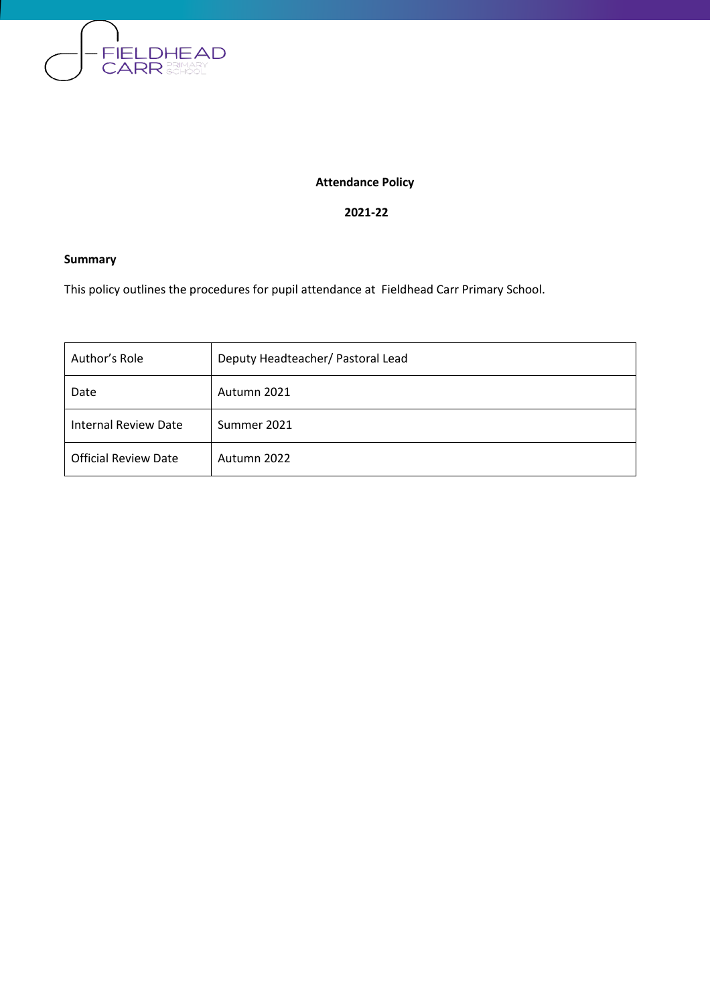

### **Attendance Policy**

#### **2021-22**

### **Summary**

This policy outlines the procedures for pupil attendance at Fieldhead Carr Primary School.

| Author's Role               | Deputy Headteacher/ Pastoral Lead |
|-----------------------------|-----------------------------------|
| Date                        | Autumn 2021                       |
| <b>Internal Review Date</b> | Summer 2021                       |
| <b>Official Review Date</b> | Autumn 2022                       |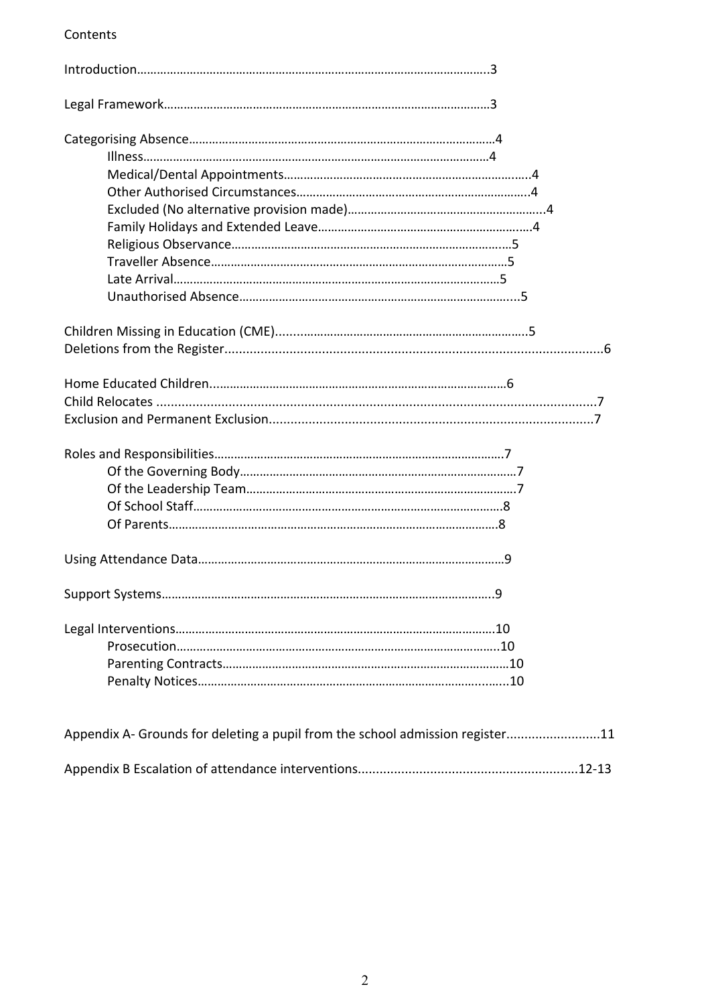### Contents

| q |  |
|---|--|
|   |  |

| Appendix A- Grounds for deleting a pupil from the school admission register11 |  |
|-------------------------------------------------------------------------------|--|
|                                                                               |  |
|                                                                               |  |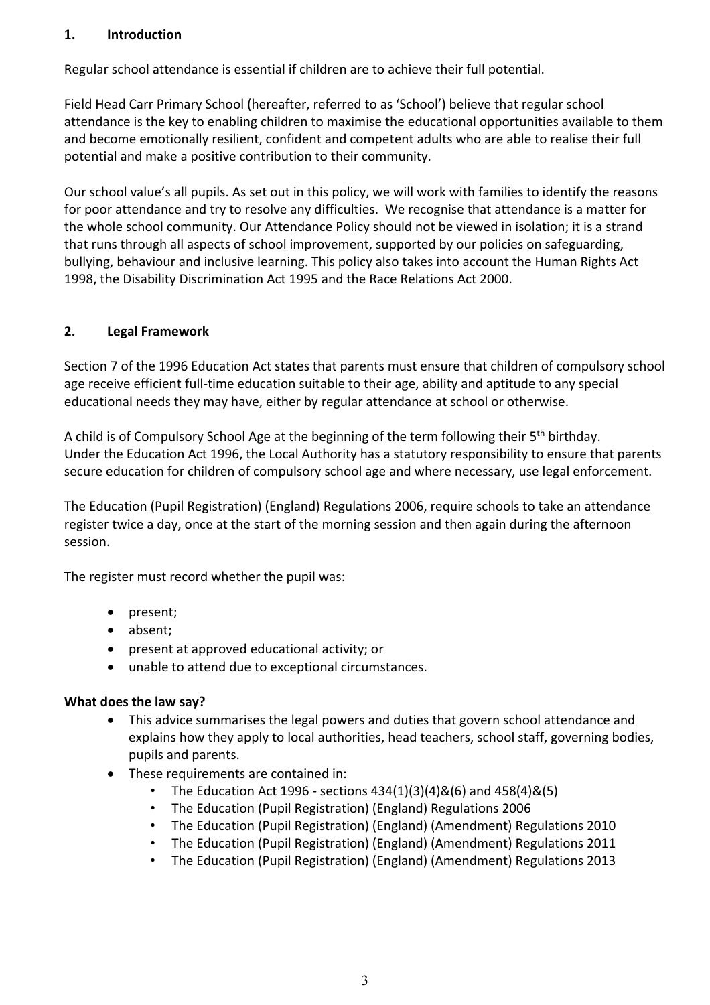#### **1. Introduction**

Regular school attendance is essential if children are to achieve their full potential.

Field Head Carr Primary School (hereafter, referred to as 'School') believe that regular school attendance is the key to enabling children to maximise the educational opportunities available to them and become emotionally resilient, confident and competent adults who are able to realise their full potential and make a positive contribution to their community.

Our school value's all pupils. As set out in this policy, we will work with families to identify the reasons for poor attendance and try to resolve any difficulties. We recognise that attendance is a matter for the whole school community. Our Attendance Policy should not be viewed in isolation; it is a strand that runs through all aspects of school improvement, supported by our policies on safeguarding, bullying, behaviour and inclusive learning. This policy also takes into account the Human Rights Act 1998, the Disability Discrimination Act 1995 and the Race Relations Act 2000.

#### **2. Legal Framework**

Section 7 of the 1996 Education Act states that parents must ensure that children of compulsory school age receive efficient full-time education suitable to their age, ability and aptitude to any special educational needs they may have, either by regular attendance at school or otherwise.

A child is of Compulsory School Age at the beginning of the term following their 5<sup>th</sup> birthday. Under the Education Act 1996, the Local Authority has a statutory responsibility to ensure that parents secure education for children of compulsory school age and where necessary, use legal enforcement.

The Education (Pupil Registration) (England) Regulations 2006, require schools to take an attendance register twice a day, once at the start of the morning session and then again during the afternoon session.

The register must record whether the pupil was:

- present;
- absent;
- present at approved educational activity; or
- unable to attend due to exceptional circumstances.

#### **What does the law say?**

- This advice summarises the legal powers and duties that govern school attendance and explains how they apply to local authorities, head teachers, school staff, governing bodies, pupils and parents.
- These requirements are contained in:
	- The Education Act 1996 sections  $434(1)(3)(4)8(6)$  and  $458(4)8(5)$
	- The Education (Pupil Registration) (England) Regulations 2006
	- The Education (Pupil Registration) (England) (Amendment) Regulations 2010
	- The Education (Pupil Registration) (England) (Amendment) Regulations 2011
	- The Education (Pupil Registration) (England) (Amendment) Regulations 2013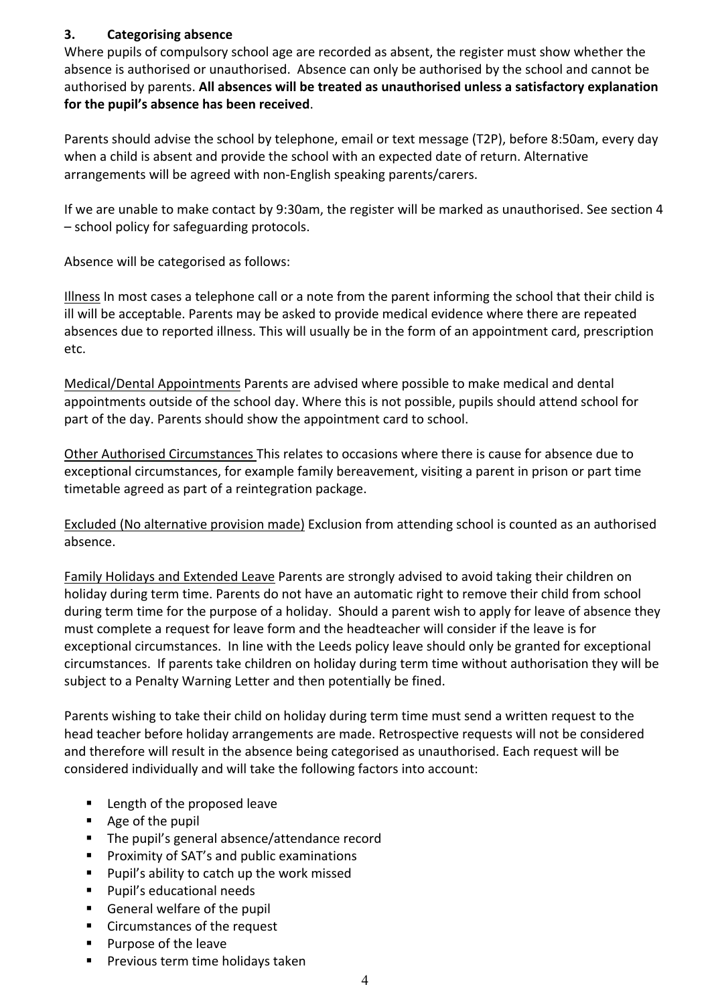### **3. Categorising absence**

Where pupils of compulsory school age are recorded as absent, the register must show whether the absence is authorised or unauthorised. Absence can only be authorised by the school and cannot be authorised by parents. **All absences will be treated as unauthorised unless a satisfactory explanation for the pupil's absence has been received**.

Parents should advise the school by telephone, email or text message (T2P), before 8:50am, every day when a child is absent and provide the school with an expected date of return. Alternative arrangements will be agreed with non-English speaking parents/carers.

If we are unable to make contact by 9:30am, the register will be marked as unauthorised. See section 4 – school policy for safeguarding protocols.

Absence will be categorised as follows:

Illness In most cases a telephone call or a note from the parent informing the school that their child is ill will be acceptable. Parents may be asked to provide medical evidence where there are repeated absences due to reported illness. This will usually be in the form of an appointment card, prescription etc.

Medical/Dental Appointments Parents are advised where possible to make medical and dental appointments outside of the school day. Where this is not possible, pupils should attend school for part of the day. Parents should show the appointment card to school.

Other Authorised Circumstances This relates to occasions where there is cause for absence due to exceptional circumstances, for example family bereavement, visiting a parent in prison or part time timetable agreed as part of a reintegration package.

Excluded (No alternative provision made) Exclusion from attending school is counted as an authorised absence.

Family Holidays and Extended Leave Parents are strongly advised to avoid taking their children on holiday during term time. Parents do not have an automatic right to remove their child from school during term time for the purpose of a holiday. Should a parent wish to apply for leave of absence they must complete a request for leave form and the headteacher will consider if the leave is for exceptional circumstances. In line with the Leeds policy leave should only be granted for exceptional circumstances. If parents take children on holiday during term time without authorisation they will be subject to a Penalty Warning Letter and then potentially be fined.

Parents wishing to take their child on holiday during term time must send a written request to the head teacher before holiday arrangements are made. Retrospective requests will not be considered and therefore will result in the absence being categorised as unauthorised. Each request will be considered individually and will take the following factors into account:

- Length of the proposed leave
- Age of the pupil
- The pupil's general absence/attendance record
- Proximity of SAT's and public examinations
- Pupil's ability to catch up the work missed
- Pupil's educational needs
- General welfare of the pupil
- Circumstances of the request
- § Purpose of the leave
- Previous term time holidays taken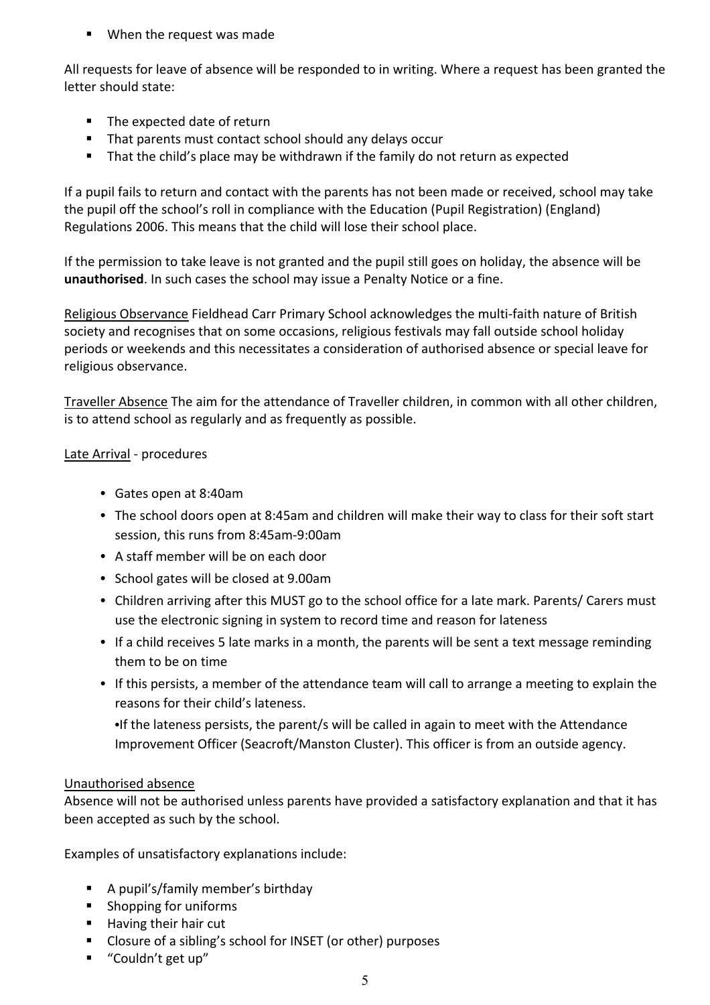■ When the request was made

All requests for leave of absence will be responded to in writing. Where a request has been granted the letter should state:

- The expected date of return
- That parents must contact school should any delays occur
- That the child's place may be withdrawn if the family do not return as expected

If a pupil fails to return and contact with the parents has not been made or received, school may take the pupil off the school's roll in compliance with the Education (Pupil Registration) (England) Regulations 2006. This means that the child will lose their school place.

If the permission to take leave is not granted and the pupil still goes on holiday, the absence will be **unauthorised**. In such cases the school may issue a Penalty Notice or a fine.

Religious Observance Fieldhead Carr Primary School acknowledges the multi-faith nature of British society and recognises that on some occasions, religious festivals may fall outside school holiday periods or weekends and this necessitates a consideration of authorised absence or special leave for religious observance.

Traveller Absence The aim for the attendance of Traveller children, in common with all other children, is to attend school as regularly and as frequently as possible.

### Late Arrival - procedures

- Gates open at 8:40am
- The school doors open at 8:45am and children will make their way to class for their soft start session, this runs from 8:45am-9:00am
- A staff member will be on each door
- School gates will be closed at 9.00am
- Children arriving after this MUST go to the school office for a late mark. Parents/ Carers must use the electronic signing in system to record time and reason for lateness
- If a child receives 5 late marks in a month, the parents will be sent a text message reminding them to be on time
- If this persists, a member of the attendance team will call to arrange a meeting to explain the reasons for their child's lateness.

•If the lateness persists, the parent/s will be called in again to meet with the Attendance Improvement Officer (Seacroft/Manston Cluster). This officer is from an outside agency.

### Unauthorised absence

Absence will not be authorised unless parents have provided a satisfactory explanation and that it has been accepted as such by the school.

Examples of unsatisfactory explanations include:

- § A pupil's/family member's birthday
- Shopping for uniforms
- Having their hair cut
- Closure of a sibling's school for INSET (or other) purposes
- "Couldn't get up"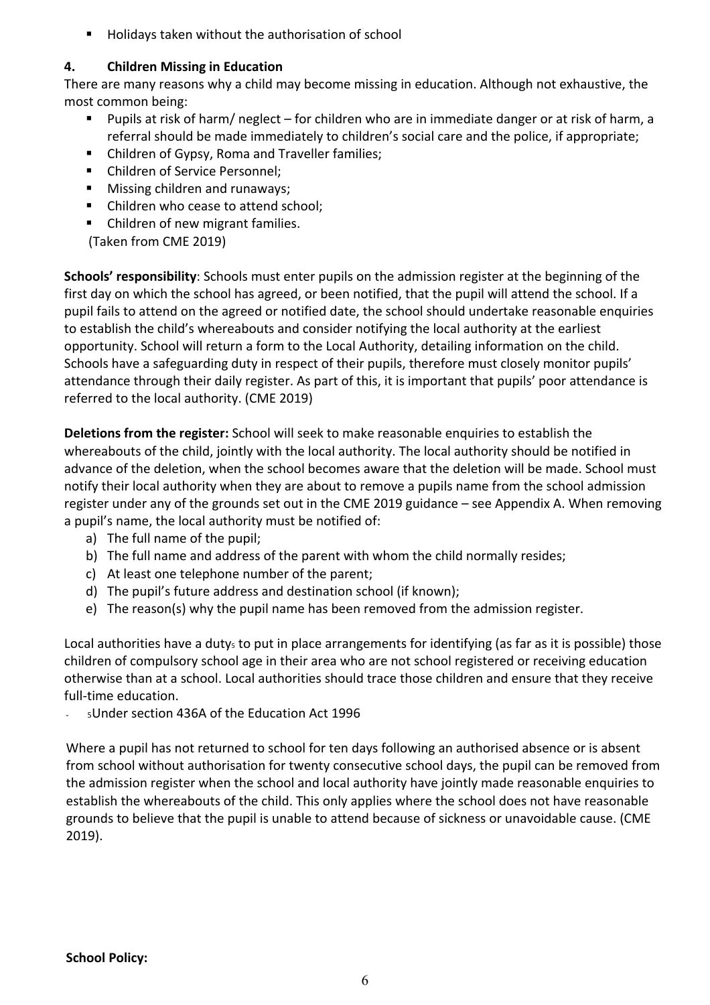■ Holidays taken without the authorisation of school

### **4. Children Missing in Education**

There are many reasons why a child may become missing in education. Although not exhaustive, the most common being:

- Pupils at risk of harm/ neglect for children who are in immediate danger or at risk of harm, a referral should be made immediately to children's social care and the police, if appropriate;
- Children of Gypsy, Roma and Traveller families;
- Children of Service Personnel;
- Missing children and runaways;
- Children who cease to attend school;
- Children of new migrant families.

(Taken from CME 2019)

**Schools' responsibility**: Schools must enter pupils on the admission register at the beginning of the first day on which the school has agreed, or been notified, that the pupil will attend the school. If a pupil fails to attend on the agreed or notified date, the school should undertake reasonable enquiries to establish the child's whereabouts and consider notifying the local authority at the earliest opportunity. School will return a form to the Local Authority, detailing information on the child. Schools have a safeguarding duty in respect of their pupils, therefore must closely monitor pupils' attendance through their daily register. As part of this, it is important that pupils' poor attendance is referred to the local authority. (CME 2019)

**Deletions from the register:** School will seek to make reasonable enquiries to establish the whereabouts of the child, jointly with the local authority. The local authority should be notified in advance of the deletion, when the school becomes aware that the deletion will be made. School must notify their local authority when they are about to remove a pupils name from the school admission register under any of the grounds set out in the CME 2019 guidance – see Appendix A. When removing a pupil's name, the local authority must be notified of:

- a) The full name of the pupil;
- b) The full name and address of the parent with whom the child normally resides;
- c) At least one telephone number of the parent;
- d) The pupil's future address and destination school (if known);
- e) The reason(s) why the pupil name has been removed from the admission register.

Local authorities have a duty<sub>5</sub> to put in place arrangements for identifying (as far as it is possible) those children of compulsory school age in their area who are not school registered or receiving education otherwise than at a school. Local authorities should trace those children and ensure that they receive full-time education.

- 5Under section 436A of the Education Act 1996

Where a pupil has not returned to school for ten days following an authorised absence or is absent from school without authorisation for twenty consecutive school days, the pupil can be removed from the admission register when the school and local authority have jointly made reasonable enquiries to establish the whereabouts of the child. This only applies where the school does not have reasonable grounds to believe that the pupil is unable to attend because of sickness or unavoidable cause. (CME 2019).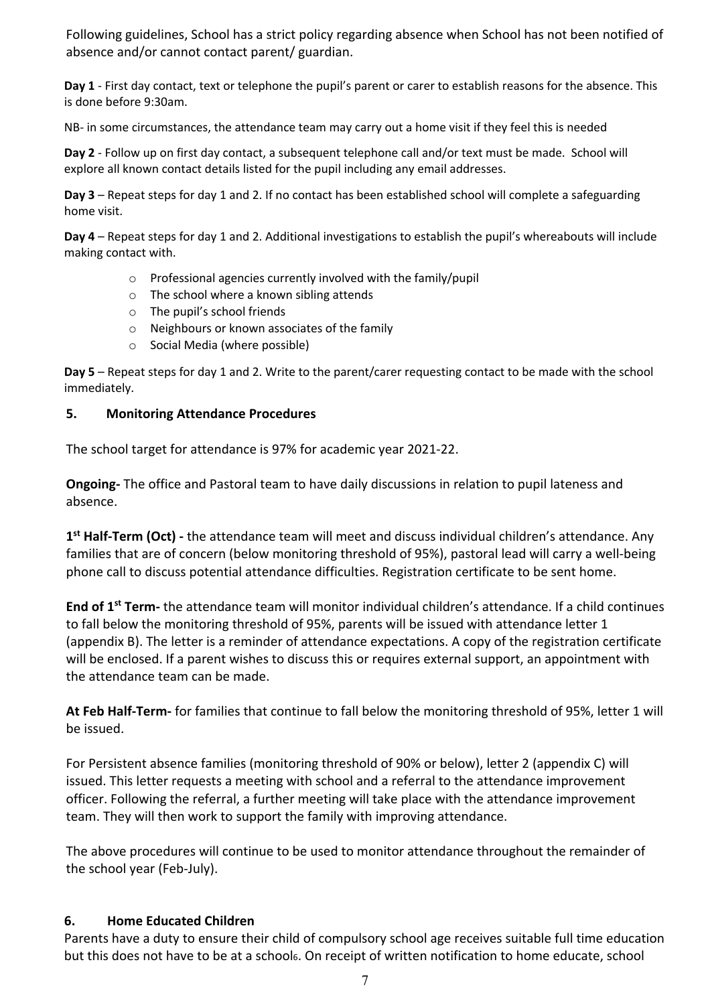Following guidelines, School has a strict policy regarding absence when School has not been notified of absence and/or cannot contact parent/ guardian.

**Day 1** - First day contact, text or telephone the pupil's parent or carer to establish reasons for the absence. This is done before 9:30am.

NB- in some circumstances, the attendance team may carry out a home visit if they feel this is needed

**Day 2** - Follow up on first day contact, a subsequent telephone call and/or text must be made. School will explore all known contact details listed for the pupil including any email addresses.

**Day 3** – Repeat steps for day 1 and 2. If no contact has been established school will complete a safeguarding home visit.

**Day 4** – Repeat steps for day 1 and 2. Additional investigations to establish the pupil's whereabouts will include making contact with.

- o Professional agencies currently involved with the family/pupil
- o The school where a known sibling attends
- o The pupil's school friends
- o Neighbours or known associates of the family
- o Social Media (where possible)

**Day 5** – Repeat steps for day 1 and 2. Write to the parent/carer requesting contact to be made with the school immediately.

#### **5. Monitoring Attendance Procedures**

The school target for attendance is 97% for academic year 2021-22.

**Ongoing-** The office and Pastoral team to have daily discussions in relation to pupil lateness and absence.

**1st Half-Term (Oct) -** the attendance team will meet and discuss individual children's attendance. Any families that are of concern (below monitoring threshold of 95%), pastoral lead will carry a well-being phone call to discuss potential attendance difficulties. Registration certificate to be sent home.

**End of 1st Term-** the attendance team will monitor individual children's attendance. If a child continues to fall below the monitoring threshold of 95%, parents will be issued with attendance letter 1 (appendix B). The letter is a reminder of attendance expectations. A copy of the registration certificate will be enclosed. If a parent wishes to discuss this or requires external support, an appointment with the attendance team can be made.

**At Feb Half-Term-** for families that continue to fall below the monitoring threshold of 95%, letter 1 will be issued.

For Persistent absence families (monitoring threshold of 90% or below), letter 2 (appendix C) will issued. This letter requests a meeting with school and a referral to the attendance improvement officer. Following the referral, a further meeting will take place with the attendance improvement team. They will then work to support the family with improving attendance.

The above procedures will continue to be used to monitor attendance throughout the remainder of the school year (Feb-July).

#### **6. Home Educated Children**

Parents have a duty to ensure their child of compulsory school age receives suitable full time education but this does not have to be at a school6. On receipt of written notification to home educate, school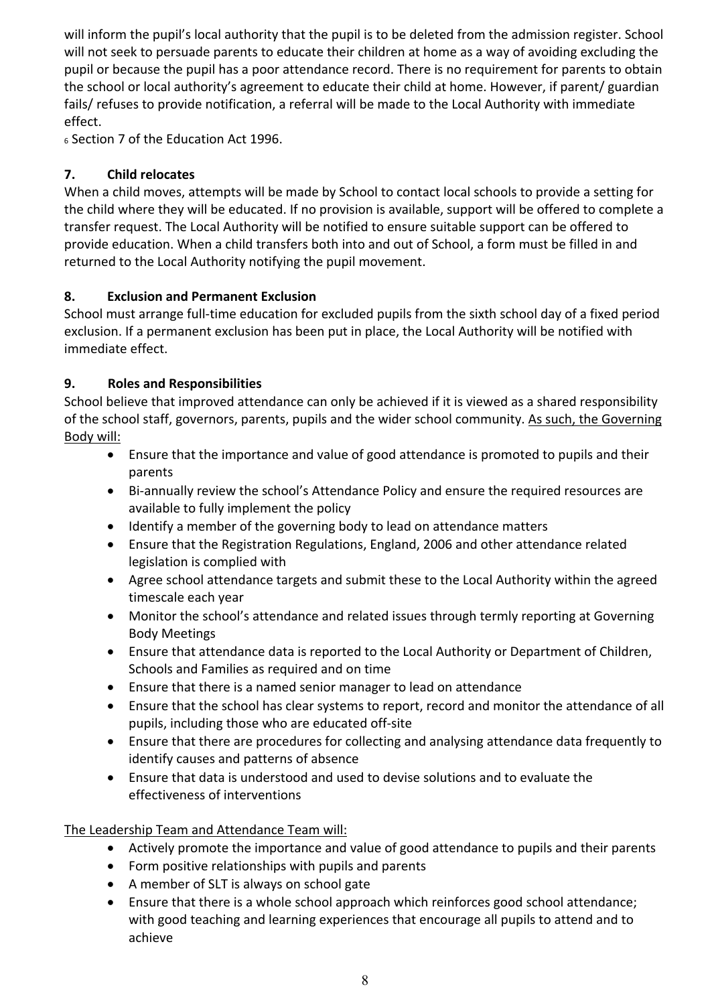will inform the pupil's local authority that the pupil is to be deleted from the admission register. School will not seek to persuade parents to educate their children at home as a way of avoiding excluding the pupil or because the pupil has a poor attendance record. There is no requirement for parents to obtain the school or local authority's agreement to educate their child at home. However, if parent/ guardian fails/ refuses to provide notification, a referral will be made to the Local Authority with immediate effect.

<sup>6</sup> Section 7 of the Education Act 1996.

## **7. Child relocates**

When a child moves, attempts will be made by School to contact local schools to provide a setting for the child where they will be educated. If no provision is available, support will be offered to complete a transfer request. The Local Authority will be notified to ensure suitable support can be offered to provide education. When a child transfers both into and out of School, a form must be filled in and returned to the Local Authority notifying the pupil movement.

# **8. Exclusion and Permanent Exclusion**

School must arrange full-time education for excluded pupils from the sixth school day of a fixed period exclusion. If a permanent exclusion has been put in place, the Local Authority will be notified with immediate effect.

### **9. Roles and Responsibilities**

School believe that improved attendance can only be achieved if it is viewed as a shared responsibility of the school staff, governors, parents, pupils and the wider school community. As such, the Governing Body will:

- Ensure that the importance and value of good attendance is promoted to pupils and their parents
- Bi-annually review the school's Attendance Policy and ensure the required resources are available to fully implement the policy
- Identify a member of the governing body to lead on attendance matters
- Ensure that the Registration Regulations, England, 2006 and other attendance related legislation is complied with
- Agree school attendance targets and submit these to the Local Authority within the agreed timescale each year
- Monitor the school's attendance and related issues through termly reporting at Governing Body Meetings
- Ensure that attendance data is reported to the Local Authority or Department of Children, Schools and Families as required and on time
- Ensure that there is a named senior manager to lead on attendance
- Ensure that the school has clear systems to report, record and monitor the attendance of all pupils, including those who are educated off-site
- Ensure that there are procedures for collecting and analysing attendance data frequently to identify causes and patterns of absence
- Ensure that data is understood and used to devise solutions and to evaluate the effectiveness of interventions

The Leadership Team and Attendance Team will:

- Actively promote the importance and value of good attendance to pupils and their parents
- Form positive relationships with pupils and parents
- A member of SLT is always on school gate
- Ensure that there is a whole school approach which reinforces good school attendance; with good teaching and learning experiences that encourage all pupils to attend and to achieve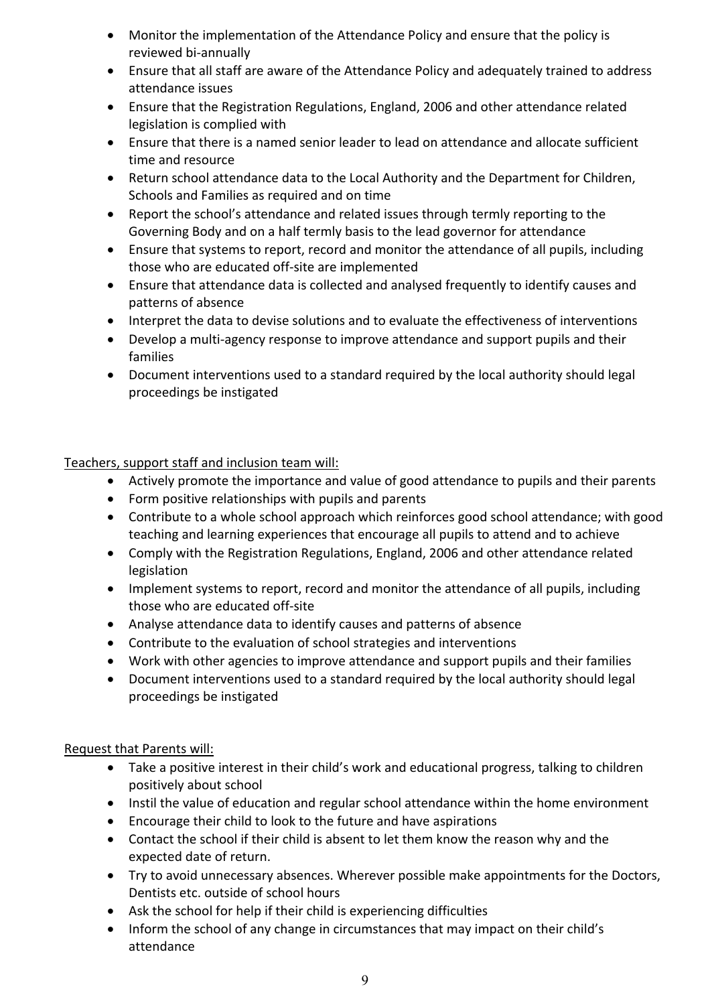- Monitor the implementation of the Attendance Policy and ensure that the policy is reviewed bi-annually
- Ensure that all staff are aware of the Attendance Policy and adequately trained to address attendance issues
- Ensure that the Registration Regulations, England, 2006 and other attendance related legislation is complied with
- Ensure that there is a named senior leader to lead on attendance and allocate sufficient time and resource
- Return school attendance data to the Local Authority and the Department for Children, Schools and Families as required and on time
- Report the school's attendance and related issues through termly reporting to the Governing Body and on a half termly basis to the lead governor for attendance
- Ensure that systems to report, record and monitor the attendance of all pupils, including those who are educated off-site are implemented
- Ensure that attendance data is collected and analysed frequently to identify causes and patterns of absence
- Interpret the data to devise solutions and to evaluate the effectiveness of interventions
- Develop a multi-agency response to improve attendance and support pupils and their families
- Document interventions used to a standard required by the local authority should legal proceedings be instigated

### Teachers, support staff and inclusion team will:

- Actively promote the importance and value of good attendance to pupils and their parents
- Form positive relationships with pupils and parents
- Contribute to a whole school approach which reinforces good school attendance; with good teaching and learning experiences that encourage all pupils to attend and to achieve
- Comply with the Registration Regulations, England, 2006 and other attendance related legislation
- Implement systems to report, record and monitor the attendance of all pupils, including those who are educated off-site
- Analyse attendance data to identify causes and patterns of absence
- Contribute to the evaluation of school strategies and interventions
- Work with other agencies to improve attendance and support pupils and their families
- Document interventions used to a standard required by the local authority should legal proceedings be instigated

#### Request that Parents will:

- Take a positive interest in their child's work and educational progress, talking to children positively about school
- Instil the value of education and regular school attendance within the home environment
- Encourage their child to look to the future and have aspirations
- Contact the school if their child is absent to let them know the reason why and the expected date of return.
- Try to avoid unnecessary absences. Wherever possible make appointments for the Doctors, Dentists etc. outside of school hours
- Ask the school for help if their child is experiencing difficulties
- Inform the school of any change in circumstances that may impact on their child's attendance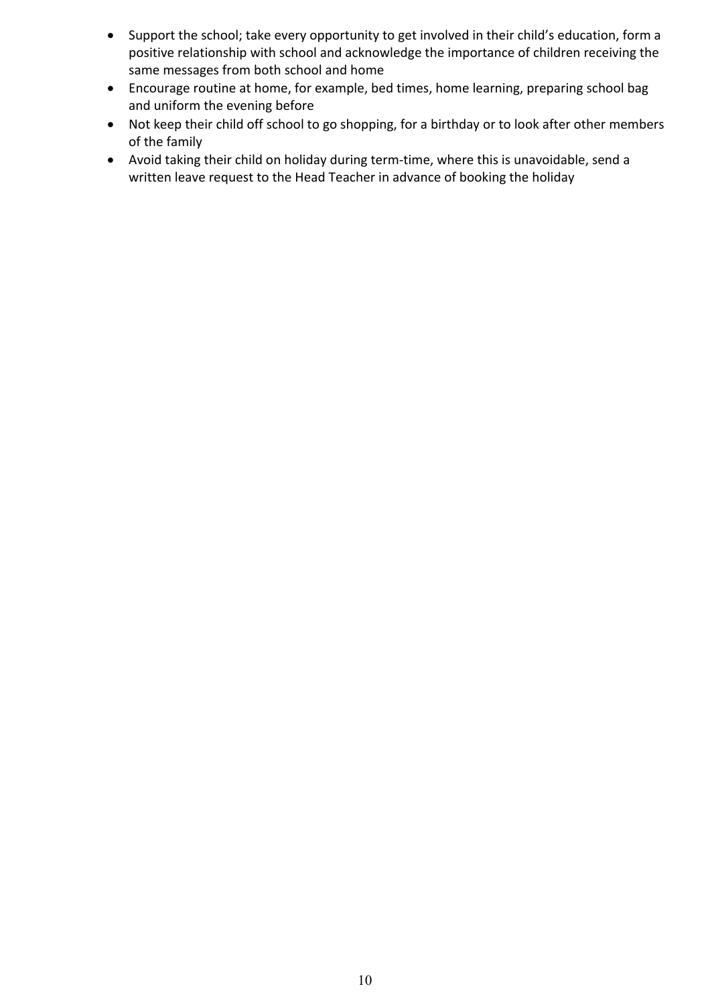- Support the school; take every opportunity to get involved in their child's education, form a positive relationship with school and acknowledge the importance of children receiving the same messages from both school and home
- Encourage routine at home, for example, bed times, home learning, preparing school bag and uniform the evening before
- Not keep their child off school to go shopping, for a birthday or to look after other members of the family
- Avoid taking their child on holiday during term-time, where this is unavoidable, send a written leave request to the Head Teacher in advance of booking the holiday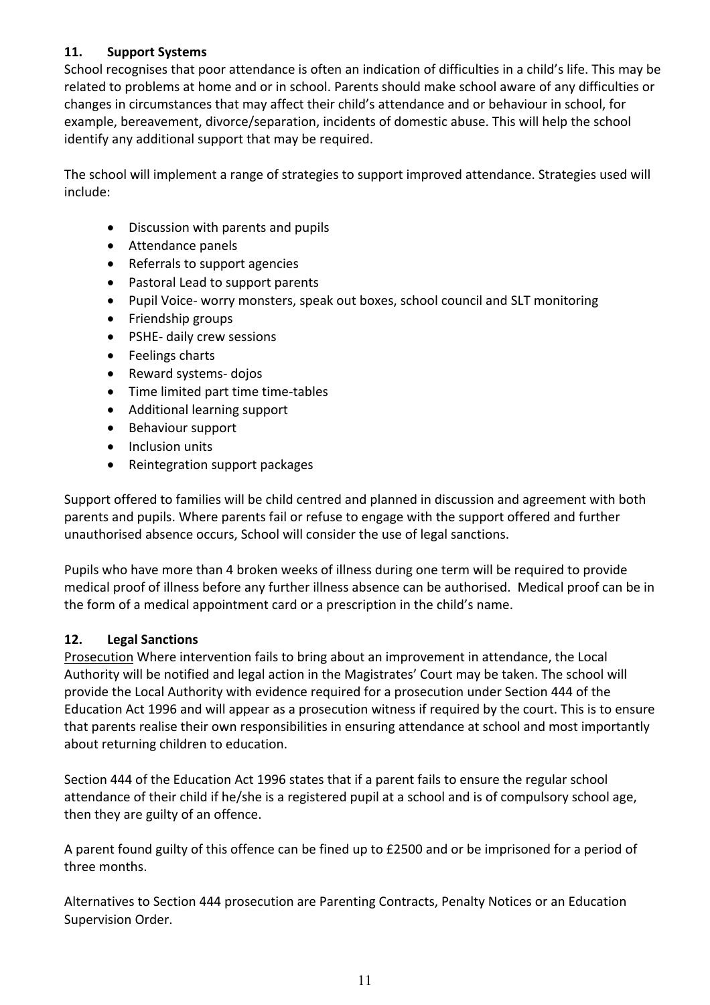### **11. Support Systems**

School recognises that poor attendance is often an indication of difficulties in a child's life. This may be related to problems at home and or in school. Parents should make school aware of any difficulties or changes in circumstances that may affect their child's attendance and or behaviour in school, for example, bereavement, divorce/separation, incidents of domestic abuse. This will help the school identify any additional support that may be required.

The school will implement a range of strategies to support improved attendance. Strategies used will include:

- Discussion with parents and pupils
- Attendance panels
- Referrals to support agencies
- Pastoral Lead to support parents
- Pupil Voice- worry monsters, speak out boxes, school council and SLT monitoring
- Friendship groups
- PSHE- daily crew sessions
- Feelings charts
- Reward systems- dojos
- Time limited part time time-tables
- Additional learning support
- Behaviour support
- Inclusion units
- Reintegration support packages

Support offered to families will be child centred and planned in discussion and agreement with both parents and pupils. Where parents fail or refuse to engage with the support offered and further unauthorised absence occurs, School will consider the use of legal sanctions.

Pupils who have more than 4 broken weeks of illness during one term will be required to provide medical proof of illness before any further illness absence can be authorised. Medical proof can be in the form of a medical appointment card or a prescription in the child's name.

#### **12. Legal Sanctions**

Prosecution Where intervention fails to bring about an improvement in attendance, the Local Authority will be notified and legal action in the Magistrates' Court may be taken. The school will provide the Local Authority with evidence required for a prosecution under Section 444 of the Education Act 1996 and will appear as a prosecution witness if required by the court. This is to ensure that parents realise their own responsibilities in ensuring attendance at school and most importantly about returning children to education.

Section 444 of the Education Act 1996 states that if a parent fails to ensure the regular school attendance of their child if he/she is a registered pupil at a school and is of compulsory school age, then they are guilty of an offence.

A parent found guilty of this offence can be fined up to £2500 and or be imprisoned for a period of three months.

Alternatives to Section 444 prosecution are Parenting Contracts, Penalty Notices or an Education Supervision Order.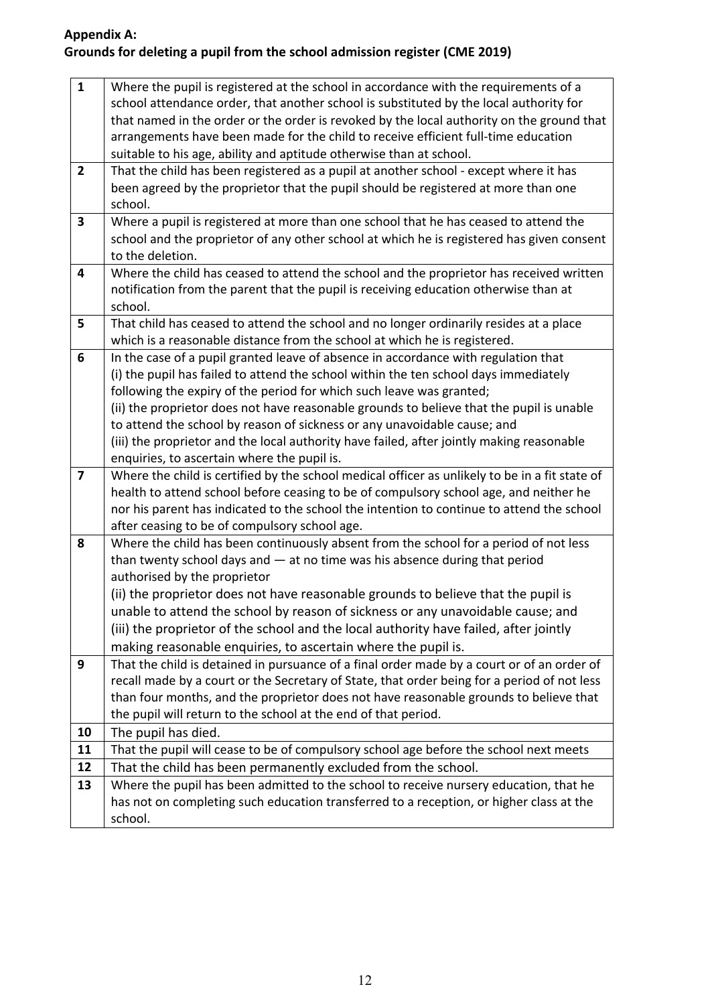# **Appendix A: Grounds for deleting a pupil from the school admission register (CME 2019)**

| $\mathbf{1}$            | Where the pupil is registered at the school in accordance with the requirements of a<br>school attendance order, that another school is substituted by the local authority for<br>that named in the order or the order is revoked by the local authority on the ground that<br>arrangements have been made for the child to receive efficient full-time education<br>suitable to his age, ability and aptitude otherwise than at school.                                                                                                                               |
|-------------------------|------------------------------------------------------------------------------------------------------------------------------------------------------------------------------------------------------------------------------------------------------------------------------------------------------------------------------------------------------------------------------------------------------------------------------------------------------------------------------------------------------------------------------------------------------------------------|
| $\overline{2}$          | That the child has been registered as a pupil at another school - except where it has<br>been agreed by the proprietor that the pupil should be registered at more than one<br>school.                                                                                                                                                                                                                                                                                                                                                                                 |
| 3                       | Where a pupil is registered at more than one school that he has ceased to attend the<br>school and the proprietor of any other school at which he is registered has given consent<br>to the deletion.                                                                                                                                                                                                                                                                                                                                                                  |
| 4                       | Where the child has ceased to attend the school and the proprietor has received written<br>notification from the parent that the pupil is receiving education otherwise than at<br>school.                                                                                                                                                                                                                                                                                                                                                                             |
| 5                       | That child has ceased to attend the school and no longer ordinarily resides at a place<br>which is a reasonable distance from the school at which he is registered.                                                                                                                                                                                                                                                                                                                                                                                                    |
| 6                       | In the case of a pupil granted leave of absence in accordance with regulation that<br>(i) the pupil has failed to attend the school within the ten school days immediately<br>following the expiry of the period for which such leave was granted;<br>(ii) the proprietor does not have reasonable grounds to believe that the pupil is unable<br>to attend the school by reason of sickness or any unavoidable cause; and<br>(iii) the proprietor and the local authority have failed, after jointly making reasonable<br>enquiries, to ascertain where the pupil is. |
| $\overline{\mathbf{z}}$ | Where the child is certified by the school medical officer as unlikely to be in a fit state of<br>health to attend school before ceasing to be of compulsory school age, and neither he<br>nor his parent has indicated to the school the intention to continue to attend the school<br>after ceasing to be of compulsory school age.                                                                                                                                                                                                                                  |
| 8                       | Where the child has been continuously absent from the school for a period of not less<br>than twenty school days and $-$ at no time was his absence during that period<br>authorised by the proprietor<br>(ii) the proprietor does not have reasonable grounds to believe that the pupil is<br>unable to attend the school by reason of sickness or any unavoidable cause; and<br>(iii) the proprietor of the school and the local authority have failed, after jointly<br>making reasonable enquiries, to ascertain where the pupil is.                               |
| 9                       | That the child is detained in pursuance of a final order made by a court or of an order of<br>recall made by a court or the Secretary of State, that order being for a period of not less<br>than four months, and the proprietor does not have reasonable grounds to believe that<br>the pupil will return to the school at the end of that period.                                                                                                                                                                                                                   |
| 10                      | The pupil has died.                                                                                                                                                                                                                                                                                                                                                                                                                                                                                                                                                    |
| 11                      | That the pupil will cease to be of compulsory school age before the school next meets                                                                                                                                                                                                                                                                                                                                                                                                                                                                                  |
| 12                      | That the child has been permanently excluded from the school.                                                                                                                                                                                                                                                                                                                                                                                                                                                                                                          |
| 13                      | Where the pupil has been admitted to the school to receive nursery education, that he                                                                                                                                                                                                                                                                                                                                                                                                                                                                                  |
|                         | has not on completing such education transferred to a reception, or higher class at the<br>school.                                                                                                                                                                                                                                                                                                                                                                                                                                                                     |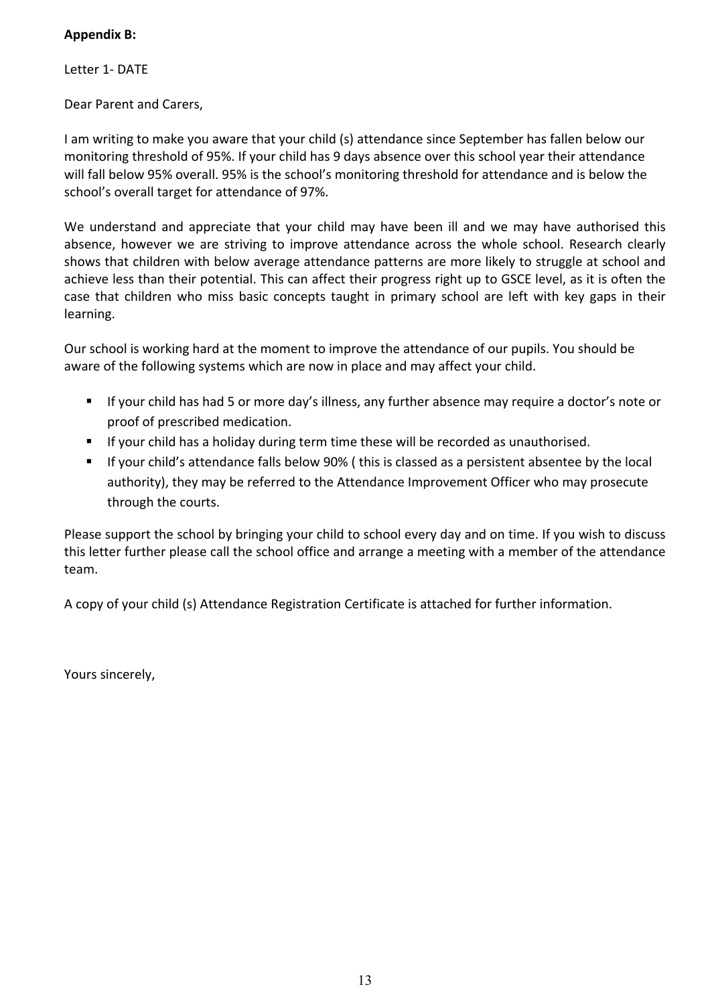### **Appendix B:**

Letter 1- DATE

Dear Parent and Carers,

I am writing to make you aware that your child (s) attendance since September has fallen below our monitoring threshold of 95%. If your child has 9 days absence over this school year their attendance will fall below 95% overall. 95% is the school's monitoring threshold for attendance and is below the school's overall target for attendance of 97%.

We understand and appreciate that your child may have been ill and we may have authorised this absence, however we are striving to improve attendance across the whole school. Research clearly shows that children with below average attendance patterns are more likely to struggle at school and achieve less than their potential. This can affect their progress right up to GSCE level, as it is often the case that children who miss basic concepts taught in primary school are left with key gaps in their learning.

Our school is working hard at the moment to improve the attendance of our pupils. You should be aware of the following systems which are now in place and may affect your child.

- If your child has had 5 or more day's illness, any further absence may require a doctor's note or proof of prescribed medication.
- If your child has a holiday during term time these will be recorded as unauthorised.
- § If your child's attendance falls below 90% ( this is classed as a persistent absentee by the local authority), they may be referred to the Attendance Improvement Officer who may prosecute through the courts.

Please support the school by bringing your child to school every day and on time. If you wish to discuss this letter further please call the school office and arrange a meeting with a member of the attendance team.

A copy of your child (s) Attendance Registration Certificate is attached for further information.

Yours sincerely,